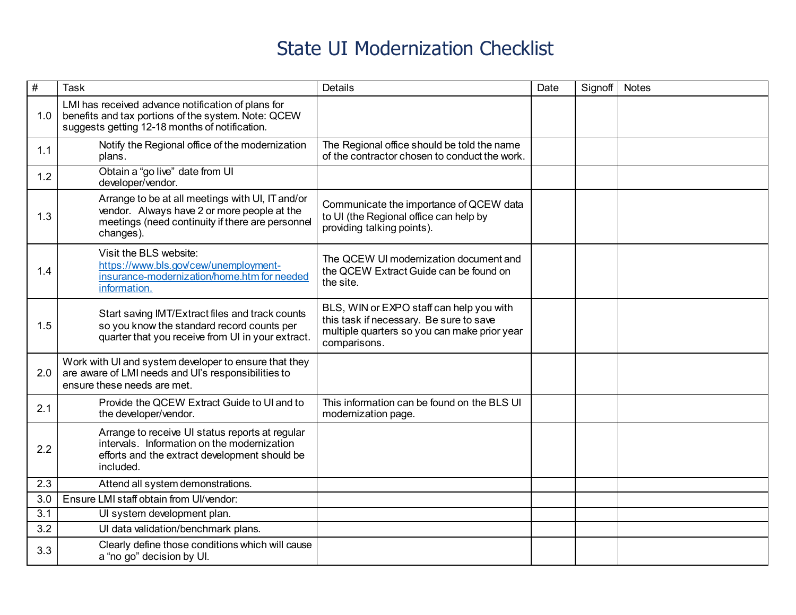| $\#$ | <b>Task</b>                                                                                                                                                      | <b>Details</b>                                                                                                                                      | Date | Signoff | <b>Notes</b> |
|------|------------------------------------------------------------------------------------------------------------------------------------------------------------------|-----------------------------------------------------------------------------------------------------------------------------------------------------|------|---------|--------------|
| 1.0  | LMI has received advance notification of plans for<br>benefits and tax portions of the system. Note: QCEW<br>suggests getting 12-18 months of notification.      |                                                                                                                                                     |      |         |              |
| 1.1  | Notify the Regional office of the modernization<br>plans.                                                                                                        | The Regional office should be told the name<br>of the contractor chosen to conduct the work.                                                        |      |         |              |
| 1.2  | Obtain a "go live" date from UI<br>developer/vendor.                                                                                                             |                                                                                                                                                     |      |         |              |
| 1.3  | Arrange to be at all meetings with UI, IT and/or<br>vendor. Always have 2 or more people at the<br>meetings (need continuity if there are personnel<br>changes). | Communicate the importance of QCEW data<br>to UI (the Regional office can help by<br>providing talking points).                                     |      |         |              |
| 1.4  | Visit the BLS website:<br>https://www.bls.gov/cew/unemployment-<br>insurance-modernization/home.htm for needed<br>information.                                   | The QCEW UI modernization document and<br>the QCEW Extract Guide can be found on<br>the site.                                                       |      |         |              |
| 1.5  | Start saving IMT/Extract files and track counts<br>so you know the standard record counts per<br>quarter that you receive from UI in your extract.               | BLS, WIN or EXPO staff can help you with<br>this task if necessary. Be sure to save<br>multiple quarters so you can make prior year<br>comparisons. |      |         |              |
| 2.0  | Work with UI and system developer to ensure that they<br>are aware of LMI needs and UI's responsibilities to<br>ensure these needs are met.                      |                                                                                                                                                     |      |         |              |
| 2.1  | Provide the QCEW Extract Guide to UI and to<br>the developer/vendor.                                                                                             | This information can be found on the BLS UI<br>modernization page.                                                                                  |      |         |              |
| 2.2  | Arrange to receive UI status reports at regular<br>intervals. Information on the modernization<br>efforts and the extract development should be<br>included.     |                                                                                                                                                     |      |         |              |
| 2.3  | Attend all system demonstrations.                                                                                                                                |                                                                                                                                                     |      |         |              |
| 3.0  | Ensure LMI staff obtain from UI/vendor:                                                                                                                          |                                                                                                                                                     |      |         |              |
| 3.1  | UI system development plan.                                                                                                                                      |                                                                                                                                                     |      |         |              |
| 3.2  | UI data validation/benchmark plans.                                                                                                                              |                                                                                                                                                     |      |         |              |
| 3.3  | Clearly define those conditions which will cause<br>a "no go" decision by UI.                                                                                    |                                                                                                                                                     |      |         |              |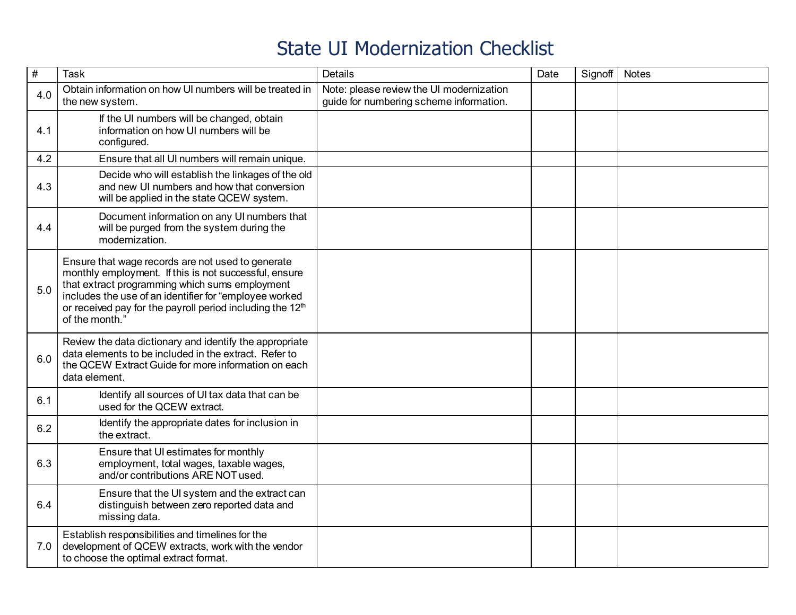| $\frac{1}{2}$ | <b>Task</b>                                                                                                                                                                                                                                                                                                       | <b>Details</b>                                                                      | Date | Signoff | <b>Notes</b> |
|---------------|-------------------------------------------------------------------------------------------------------------------------------------------------------------------------------------------------------------------------------------------------------------------------------------------------------------------|-------------------------------------------------------------------------------------|------|---------|--------------|
| 4.0           | Obtain information on how UI numbers will be treated in<br>the new system.                                                                                                                                                                                                                                        | Note: please review the UI modernization<br>guide for numbering scheme information. |      |         |              |
| 4.1           | If the UI numbers will be changed, obtain<br>information on how UI numbers will be<br>configured.                                                                                                                                                                                                                 |                                                                                     |      |         |              |
| 4.2           | Ensure that all UI numbers will remain unique.                                                                                                                                                                                                                                                                    |                                                                                     |      |         |              |
| 4.3           | Decide who will establish the linkages of the old<br>and new UI numbers and how that conversion<br>will be applied in the state QCEW system.                                                                                                                                                                      |                                                                                     |      |         |              |
| 4.4           | Document information on any UI numbers that<br>will be purged from the system during the<br>modernization.                                                                                                                                                                                                        |                                                                                     |      |         |              |
| 5.0           | Ensure that wage records are not used to generate<br>monthly employment. If this is not successful, ensure<br>that extract programming which sums employment<br>includes the use of an identifier for "employee worked<br>or received pay for the payroll period including the 12 <sup>th</sup><br>of the month." |                                                                                     |      |         |              |
| 6.0           | Review the data dictionary and identify the appropriate<br>data elements to be included in the extract. Refer to<br>the QCEW Extract Guide for more information on each<br>data element.                                                                                                                          |                                                                                     |      |         |              |
| 6.1           | Identify all sources of UI tax data that can be<br>used for the QCEW extract.                                                                                                                                                                                                                                     |                                                                                     |      |         |              |
| 6.2           | Identify the appropriate dates for inclusion in<br>the extract.                                                                                                                                                                                                                                                   |                                                                                     |      |         |              |
| 6.3           | Ensure that UI estimates for monthly<br>employment, total wages, taxable wages,<br>and/or contributions ARE NOT used.                                                                                                                                                                                             |                                                                                     |      |         |              |
| 6.4           | Ensure that the UI system and the extract can<br>distinguish between zero reported data and<br>missing data.                                                                                                                                                                                                      |                                                                                     |      |         |              |
| 7.0           | Establish responsibilities and timelines for the<br>development of QCEW extracts, work with the vendor<br>to choose the optimal extract format.                                                                                                                                                                   |                                                                                     |      |         |              |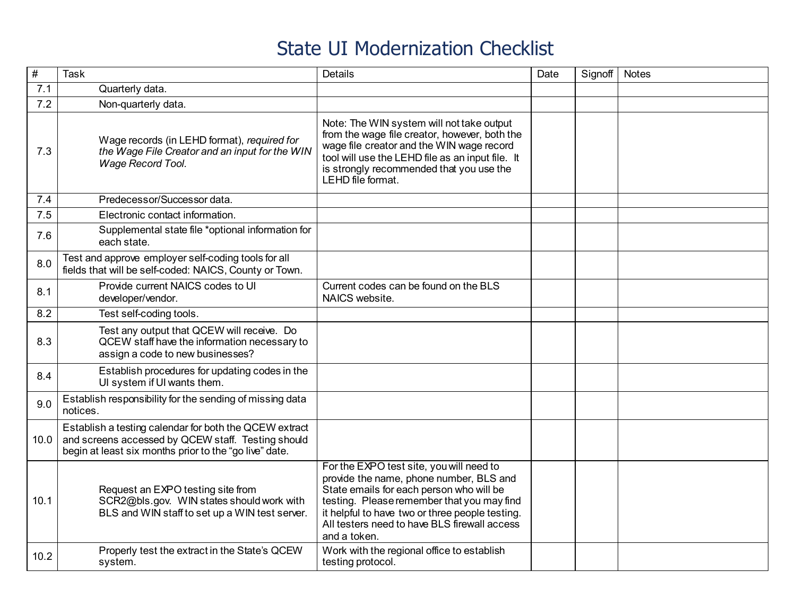| $\overline{\#}$ | <b>Task</b>                                                                                                                                                            | <b>Details</b>                                                                                                                                                                                                                                                                                   | Date | Signoff | <b>Notes</b> |
|-----------------|------------------------------------------------------------------------------------------------------------------------------------------------------------------------|--------------------------------------------------------------------------------------------------------------------------------------------------------------------------------------------------------------------------------------------------------------------------------------------------|------|---------|--------------|
| 7.1             | Quarterly data.                                                                                                                                                        |                                                                                                                                                                                                                                                                                                  |      |         |              |
| 7.2             | Non-quarterly data.                                                                                                                                                    |                                                                                                                                                                                                                                                                                                  |      |         |              |
| 7.3             | Wage records (in LEHD format), required for<br>the Wage File Creator and an input for the WIN<br>Wage Record Tool.                                                     | Note: The WIN system will not take output<br>from the wage file creator, however, both the<br>wage file creator and the WIN wage record<br>tool will use the LEHD file as an input file. It<br>is strongly recommended that you use the<br>LEHD file format.                                     |      |         |              |
| 7.4             | Predecessor/Successor data.                                                                                                                                            |                                                                                                                                                                                                                                                                                                  |      |         |              |
| 7.5             | Electronic contact information.                                                                                                                                        |                                                                                                                                                                                                                                                                                                  |      |         |              |
| 7.6             | Supplemental state file *optional information for<br>each state.                                                                                                       |                                                                                                                                                                                                                                                                                                  |      |         |              |
| 8.0             | Test and approve employer self-coding tools for all<br>fields that will be self-coded: NAICS, County or Town.                                                          |                                                                                                                                                                                                                                                                                                  |      |         |              |
| 8.1             | Provide current NAICS codes to UI<br>developer/vendor.                                                                                                                 | Current codes can be found on the BLS<br>NAICS website.                                                                                                                                                                                                                                          |      |         |              |
| 8.2             | Test self-coding tools.                                                                                                                                                |                                                                                                                                                                                                                                                                                                  |      |         |              |
| 8.3             | Test any output that QCEW will receive. Do<br>QCEW staff have the information necessary to<br>assign a code to new businesses?                                         |                                                                                                                                                                                                                                                                                                  |      |         |              |
| 8.4             | Establish procedures for updating codes in the<br>UI system if UI wants them.                                                                                          |                                                                                                                                                                                                                                                                                                  |      |         |              |
| 9.0             | Establish responsibility for the sending of missing data<br>notices.                                                                                                   |                                                                                                                                                                                                                                                                                                  |      |         |              |
| 10.0            | Establish a testing calendar for both the QCEW extract<br>and screens accessed by QCEW staff. Testing should<br>begin at least six months prior to the "go live" date. |                                                                                                                                                                                                                                                                                                  |      |         |              |
| 10.1            | Request an EXPO testing site from<br>SCR2@bls.gov. WIN states should work with<br>BLS and WIN staff to set up a WIN test server.                                       | For the EXPO test site, you will need to<br>provide the name, phone number, BLS and<br>State emails for each person who will be<br>testing. Please remember that you may find<br>it helpful to have two or three people testing.<br>All testers need to have BLS firewall access<br>and a token. |      |         |              |
| 10.2            | Properly test the extract in the State's QCEW<br>system.                                                                                                               | Work with the regional office to establish<br>testing protocol.                                                                                                                                                                                                                                  |      |         |              |